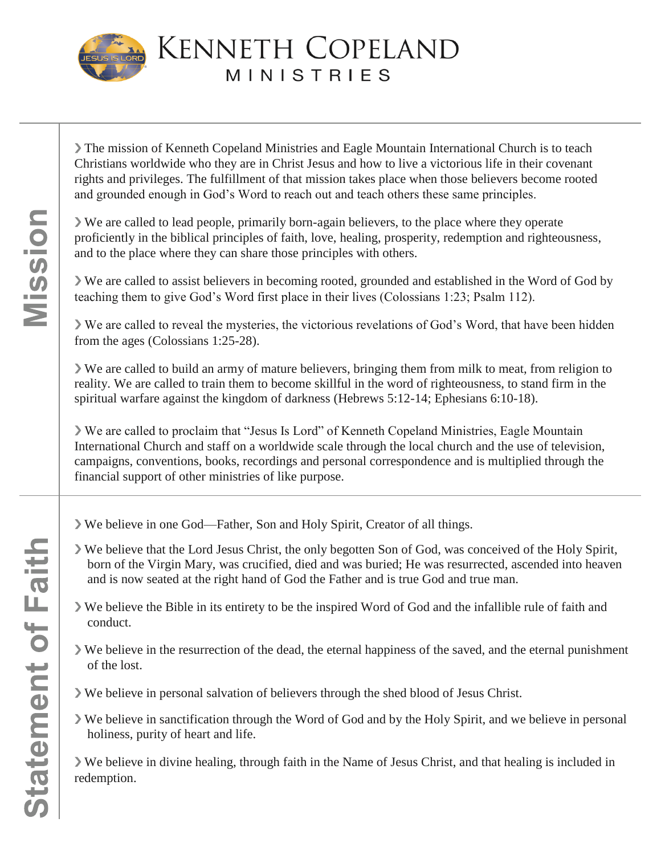

**KENNETH COPELAND MINISTRIES** 

❯ The mission of Kenneth Copeland Ministries and Eagle Mountain International Church is to teach Christians worldwide who they are in Christ Jesus and how to live a victorious life in their covenant rights and privileges. The fulfillment of that mission takes place when those believers become rooted and grounded enough in God's Word to reach out and teach others these same principles.

❯ We are called to lead people, primarily born-again believers, to the place where they operate proficiently in the biblical principles of faith, love, healing, prosperity, redemption and righteousness, and to the place where they can share those principles with others.

❯ We are called to assist believers in becoming rooted, grounded and established in the Word of God by teaching them to give God's Word first place in their lives (Colossians 1:23; Psalm 112).

❯ We are called to reveal the mysteries, the victorious revelations of God's Word, that have been hidden from the ages (Colossians 1:25-28).

❯ We are called to build an army of mature believers, bringing them from milk to meat, from religion to reality. We are called to train them to become skillful in the word of righteousness, to stand firm in the spiritual warfare against the kingdom of darkness (Hebrews 5:12-14; Ephesians 6:10-18).

❯ We are called to proclaim that "Jesus Is Lord" of Kenneth Copeland Ministries, Eagle Mountain International Church and staff on a worldwide scale through the local church and the use of television, campaigns, conventions, books, recordings and personal correspondence and is multiplied through the financial support of other ministries of like purpose.

- ❯ We believe in one God—Father, Son and Holy Spirit, Creator of all things.
- ❯ We believe that the Lord Jesus Christ, the only begotten Son of God, was conceived of the Holy Spirit, born of the Virgin Mary, was crucified, died and was buried; He was resurrected, ascended into heaven and is now seated at the right hand of God the Father and is true God and true man.
- ❯ We believe the Bible in its entirety to be the inspired Word of God and the infallible rule of faith and conduct.
- ❯ We believe in the resurrection of the dead, the eternal happiness of the saved, and the eternal punishment of the lost.
- ❯ We believe in personal salvation of believers through the shed blood of Jesus Christ.
- ❯ We believe in sanctification through the Word of God and by the Holy Spirit, and we believe in personal holiness, purity of heart and life.

❯ We believe in divine healing, through faith in the Name of Jesus Christ, and that healing is included in redemption.